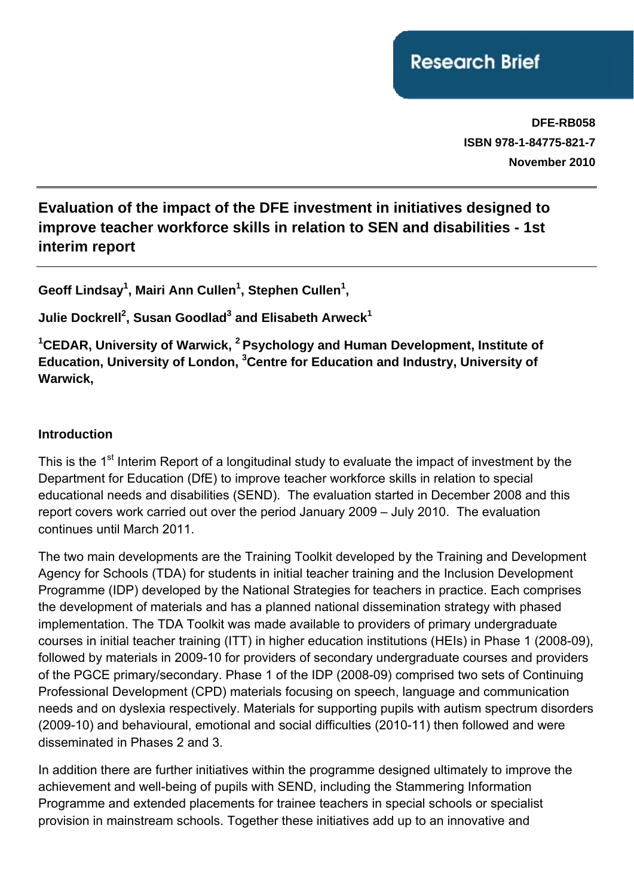**DFE-RB058 ISBN 978-1-84775-821-7 November 2010**

# **Evaluation of the impact of the DFE investment in initiatives designed to improve teacher workforce skills in relation to SEN and disabilities - 1st interim report**

Geoff Lindsay<sup>1</sup>, Mairi Ann Cullen<sup>1</sup>, Stephen Cullen<sup>1</sup>,

Julie Dockrell<sup>2</sup>, Susan Goodlad<sup>3</sup> and Elisabeth Arweck<sup>1</sup>

**1 CEDAR, University of Warwick, 2 Psychology and Human Development, Institute of Education, University of London, 3 Centre for Education and Industry, University of Warwick,** 

#### **Introduction**

This is the 1<sup>st</sup> Interim Report of a longitudinal study to evaluate the impact of investment by the Department for Education (DfE) to improve teacher workforce skills in relation to special educational needs and disabilities (SEND). The evaluation started in December 2008 and this report covers work carried out over the period January 2009 – July 2010. The evaluation continues until March 2011.

The two main developments are the Training Toolkit developed by the Training and Development Agency for Schools (TDA) for students in initial teacher training and the Inclusion Development Programme (IDP) developed by the National Strategies for teachers in practice. Each comprises the development of materials and has a planned national dissemination strategy with phased implementation. The TDA Toolkit was made available to providers of primary undergraduate courses in initial teacher training (ITT) in higher education institutions (HEIs) in Phase 1 (2008-09), followed by materials in 2009-10 for providers of secondary undergraduate courses and providers of the PGCE primary/secondary. Phase 1 of the IDP (2008-09) comprised two sets of Continuing Professional Development (CPD) materials focusing on speech, language and communication needs and on dyslexia respectively. Materials for supporting pupils with autism spectrum disorders (2009-10) and behavioural, emotional and social difficulties (2010-11) then followed and were disseminated in Phases 2 and 3.

In addition there are further initiatives within the programme designed ultimately to improve the achievement and well-being of pupils with SEND, including the Stammering Information Programme and extended placements for trainee teachers in special schools or specialist provision in mainstream schools. Together these initiatives add up to an innovative and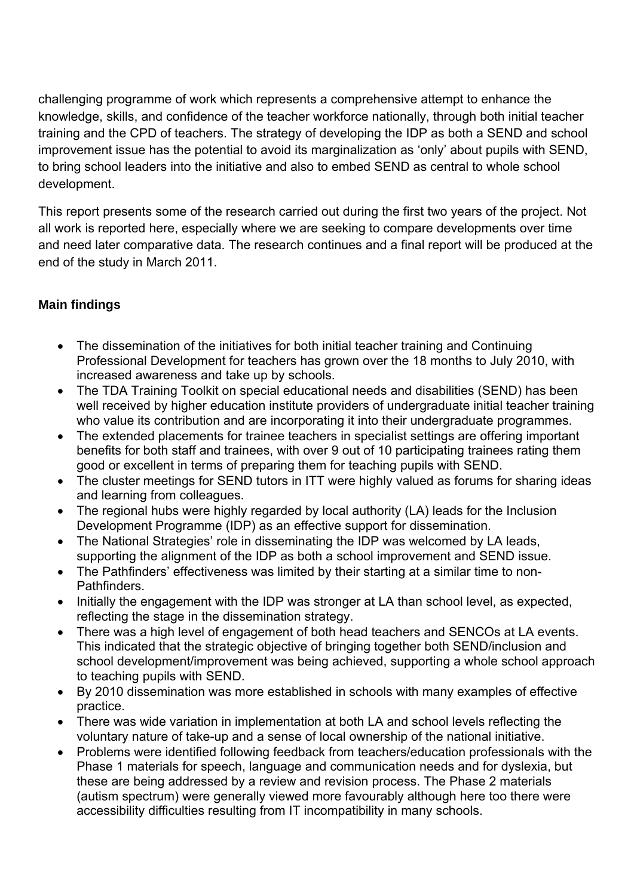challenging programme of work which represents a comprehensive attempt to enhance the knowledge, skills, and confidence of the teacher workforce nationally, through both initial teacher training and the CPD of teachers. The strategy of developing the IDP as both a SEND and school improvement issue has the potential to avoid its marginalization as 'only' about pupils with SEND, to bring school leaders into the initiative and also to embed SEND as central to whole school development.

This report presents some of the research carried out during the first two years of the project. Not all work is reported here, especially where we are seeking to compare developments over time and need later comparative data. The research continues and a final report will be produced at the end of the study in March 2011.

# **Main findings**

- The dissemination of the initiatives for both initial teacher training and Continuing Professional Development for teachers has grown over the 18 months to July 2010, with increased awareness and take up by schools.
- The TDA Training Toolkit on special educational needs and disabilities (SEND) has been well received by higher education institute providers of undergraduate initial teacher training who value its contribution and are incorporating it into their undergraduate programmes.
- The extended placements for trainee teachers in specialist settings are offering important benefits for both staff and trainees, with over 9 out of 10 participating trainees rating them good or excellent in terms of preparing them for teaching pupils with SEND.
- The cluster meetings for SEND tutors in ITT were highly valued as forums for sharing ideas and learning from colleagues.
- The regional hubs were highly regarded by local authority (LA) leads for the Inclusion Development Programme (IDP) as an effective support for dissemination.
- The National Strategies' role in disseminating the IDP was welcomed by LA leads, supporting the alignment of the IDP as both a school improvement and SEND issue.
- The Pathfinders' effectiveness was limited by their starting at a similar time to non-Pathfinders.
- Initially the engagement with the IDP was stronger at LA than school level, as expected, reflecting the stage in the dissemination strategy.
- There was a high level of engagement of both head teachers and SENCOs at LA events. This indicated that the strategic objective of bringing together both SEND/inclusion and school development/improvement was being achieved, supporting a whole school approach to teaching pupils with SEND.
- By 2010 dissemination was more established in schools with many examples of effective practice.
- There was wide variation in implementation at both LA and school levels reflecting the voluntary nature of take-up and a sense of local ownership of the national initiative.
- Problems were identified following feedback from teachers/education professionals with the Phase 1 materials for speech, language and communication needs and for dyslexia, but these are being addressed by a review and revision process. The Phase 2 materials (autism spectrum) were generally viewed more favourably although here too there were accessibility difficulties resulting from IT incompatibility in many schools.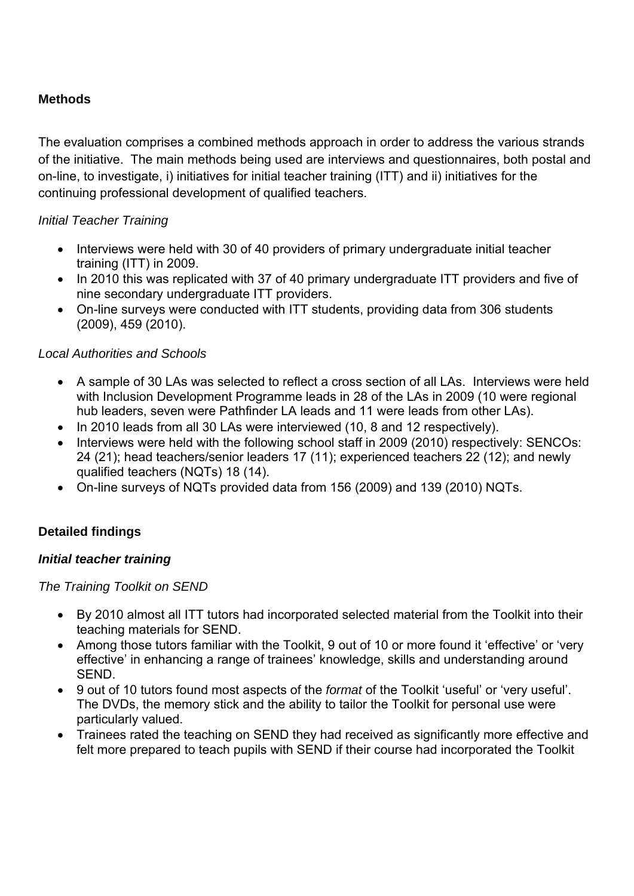## **Methods**

The evaluation comprises a combined methods approach in order to address the various strands of the initiative. The main methods being used are interviews and questionnaires, both postal and on-line, to investigate, i) initiatives for initial teacher training (ITT) and ii) initiatives for the continuing professional development of qualified teachers.

## *Initial Teacher Training*

- Interviews were held with 30 of 40 providers of primary undergraduate initial teacher training (ITT) in 2009.
- In 2010 this was replicated with 37 of 40 primary undergraduate ITT providers and five of nine secondary undergraduate ITT providers.
- On-line surveys were conducted with ITT students, providing data from 306 students (2009), 459 (2010).

# *Local Authorities and Schools*

- A sample of 30 LAs was selected to reflect a cross section of all LAs. Interviews were held with Inclusion Development Programme leads in 28 of the LAs in 2009 (10 were regional hub leaders, seven were Pathfinder LA leads and 11 were leads from other LAs).
- In 2010 leads from all 30 LAs were interviewed (10, 8 and 12 respectively).
- Interviews were held with the following school staff in 2009 (2010) respectively: SENCOs: 24 (21); head teachers/senior leaders 17 (11); experienced teachers 22 (12); and newly qualified teachers (NQTs) 18 (14).
- On-line surveys of NQTs provided data from 156 (2009) and 139 (2010) NQTs.

# **Detailed findings**

## *Initial teacher training*

*The Training Toolkit on SEND* 

- By 2010 almost all ITT tutors had incorporated selected material from the Toolkit into their teaching materials for SEND.
- Among those tutors familiar with the Toolkit, 9 out of 10 or more found it 'effective' or 'very effective' in enhancing a range of trainees' knowledge, skills and understanding around SEND.
- 9 out of 10 tutors found most aspects of the *format* of the Toolkit 'useful' or 'very useful'. The DVDs, the memory stick and the ability to tailor the Toolkit for personal use were particularly valued.
- Trainees rated the teaching on SEND they had received as significantly more effective and felt more prepared to teach pupils with SEND if their course had incorporated the Toolkit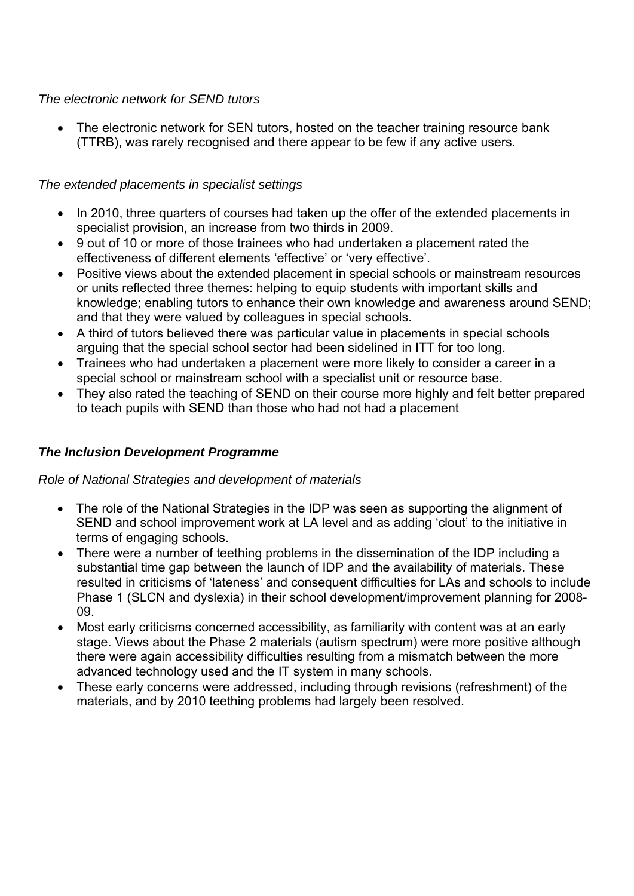#### *The electronic network for SEND tutors*

The electronic network for SEN tutors, hosted on the teacher training resource bank (TTRB), was rarely recognised and there appear to be few if any active users.

#### *The extended placements in specialist settings*

- In 2010, three quarters of courses had taken up the offer of the extended placements in specialist provision, an increase from two thirds in 2009.
- 9 out of 10 or more of those trainees who had undertaken a placement rated the effectiveness of different elements 'effective' or 'very effective'.
- Positive views about the extended placement in special schools or mainstream resources or units reflected three themes: helping to equip students with important skills and knowledge; enabling tutors to enhance their own knowledge and awareness around SEND; and that they were valued by colleagues in special schools.
- A third of tutors believed there was particular value in placements in special schools arguing that the special school sector had been sidelined in ITT for too long.
- Trainees who had undertaken a placement were more likely to consider a career in a special school or mainstream school with a specialist unit or resource base.
- They also rated the teaching of SEND on their course more highly and felt better prepared to teach pupils with SEND than those who had not had a placement

#### *The Inclusion Development Programme*

#### *Role of National Strategies and development of materials*

- The role of the National Strategies in the IDP was seen as supporting the alignment of SEND and school improvement work at LA level and as adding 'clout' to the initiative in terms of engaging schools.
- There were a number of teething problems in the dissemination of the IDP including a substantial time gap between the launch of IDP and the availability of materials. These resulted in criticisms of 'lateness' and consequent difficulties for LAs and schools to include Phase 1 (SLCN and dyslexia) in their school development/improvement planning for 2008- 09.
- Most early criticisms concerned accessibility, as familiarity with content was at an early stage. Views about the Phase 2 materials (autism spectrum) were more positive although there were again accessibility difficulties resulting from a mismatch between the more advanced technology used and the IT system in many schools.
- These early concerns were addressed, including through revisions (refreshment) of the materials, and by 2010 teething problems had largely been resolved.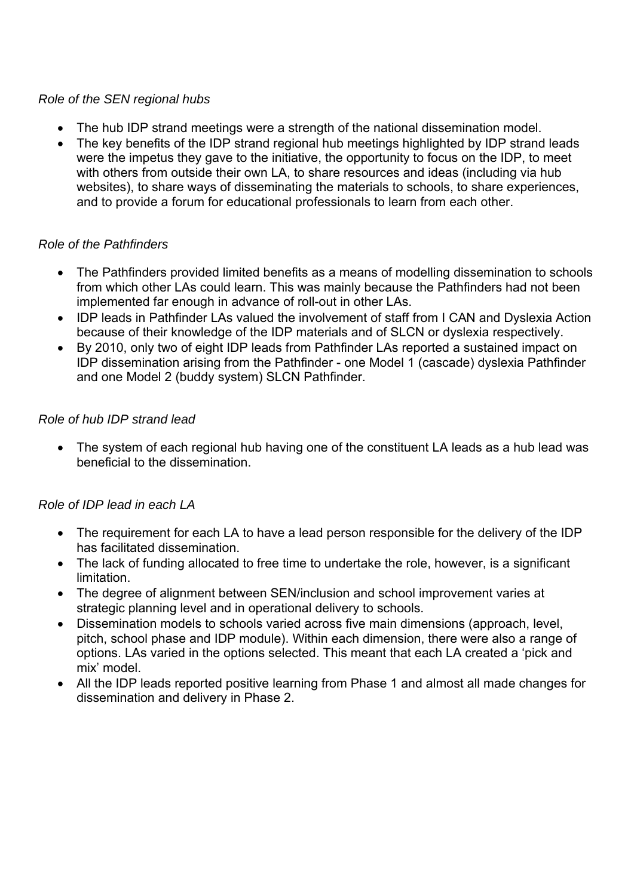#### *Role of the SEN regional hubs*

- The hub IDP strand meetings were a strength of the national dissemination model.
- The key benefits of the IDP strand regional hub meetings highlighted by IDP strand leads were the impetus they gave to the initiative, the opportunity to focus on the IDP, to meet with others from outside their own LA, to share resources and ideas (including via hub websites), to share ways of disseminating the materials to schools, to share experiences, and to provide a forum for educational professionals to learn from each other.

## *Role of the Pathfinders*

- The Pathfinders provided limited benefits as a means of modelling dissemination to schools from which other LAs could learn. This was mainly because the Pathfinders had not been implemented far enough in advance of roll-out in other LAs.
- IDP leads in Pathfinder LAs valued the involvement of staff from I CAN and Dyslexia Action because of their knowledge of the IDP materials and of SLCN or dyslexia respectively.
- By 2010, only two of eight IDP leads from Pathfinder LAs reported a sustained impact on IDP dissemination arising from the Pathfinder - one Model 1 (cascade) dyslexia Pathfinder and one Model 2 (buddy system) SLCN Pathfinder.

#### *Role of hub IDP strand lead*

• The system of each regional hub having one of the constituent LA leads as a hub lead was beneficial to the dissemination.

## *Role of IDP lead in each LA*

- The requirement for each LA to have a lead person responsible for the delivery of the IDP has facilitated dissemination.
- The lack of funding allocated to free time to undertake the role, however, is a significant limitation.
- The degree of alignment between SEN/inclusion and school improvement varies at strategic planning level and in operational delivery to schools.
- Dissemination models to schools varied across five main dimensions (approach, level, pitch, school phase and IDP module). Within each dimension, there were also a range of options. LAs varied in the options selected. This meant that each LA created a 'pick and mix' model.
- All the IDP leads reported positive learning from Phase 1 and almost all made changes for dissemination and delivery in Phase 2.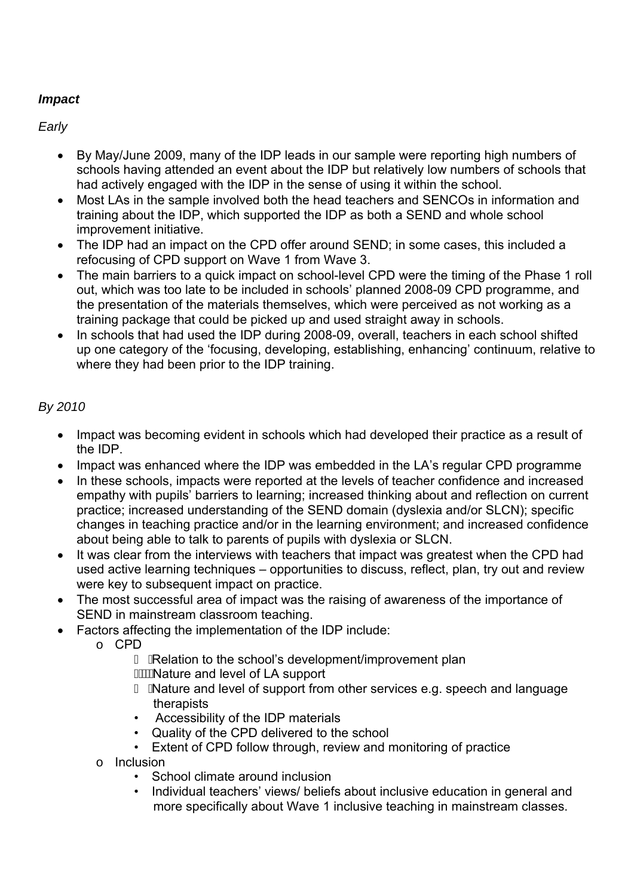# *Impact*

*Early* 

- By May/June 2009, many of the IDP leads in our sample were reporting high numbers of schools having attended an event about the IDP but relatively low numbers of schools that had actively engaged with the IDP in the sense of using it within the school.
- Most LAs in the sample involved both the head teachers and SENCOs in information and training about the IDP, which supported the IDP as both a SEND and whole school improvement initiative.
- The IDP had an impact on the CPD offer around SEND; in some cases, this included a refocusing of CPD support on Wave 1 from Wave 3.
- The main barriers to a quick impact on school-level CPD were the timing of the Phase 1 roll out, which was too late to be included in schools' planned 2008-09 CPD programme, and the presentation of the materials themselves, which were perceived as not working as a training package that could be picked up and used straight away in schools.
- In schools that had used the IDP during 2008-09, overall, teachers in each school shifted up one category of the 'focusing, developing, establishing, enhancing' continuum, relative to where they had been prior to the IDP training.

# *By 2010*

- Impact was becoming evident in schools which had developed their practice as a result of the IDP.
- Impact was enhanced where the IDP was embedded in the LA's regular CPD programme
- In these schools, impacts were reported at the levels of teacher confidence and increased empathy with pupils' barriers to learning; increased thinking about and reflection on current practice; increased understanding of the SEND domain (dyslexia and/or SLCN); specific changes in teaching practice and/or in the learning environment; and increased confidence about being able to talk to parents of pupils with dyslexia or SLCN.
- It was clear from the interviews with teachers that impact was greatest when the CPD had used active learning techniques – opportunities to discuss, reflect, plan, try out and review were key to subsequent impact on practice.
- The most successful area of impact was the raising of awareness of the importance of SEND in mainstream classroom teaching.
- Factors affecting the implementation of the IDP include:
	- o CPD
		- Relation to the school's development/improvement plan
		- *A***WA** ature and level of LA support
		- $\degree$  Á Nature and level of support from other services e.g. speech and language therapists
		- Accessibility of the IDP materials
		- Quality of the CPD delivered to the school
		- Extent of CPD follow through, review and monitoring of practice
	- o Inclusion
		- School climate around inclusion
		- Individual teachers' views/ beliefs about inclusive education in general and more specifically about Wave 1 inclusive teaching in mainstream classes.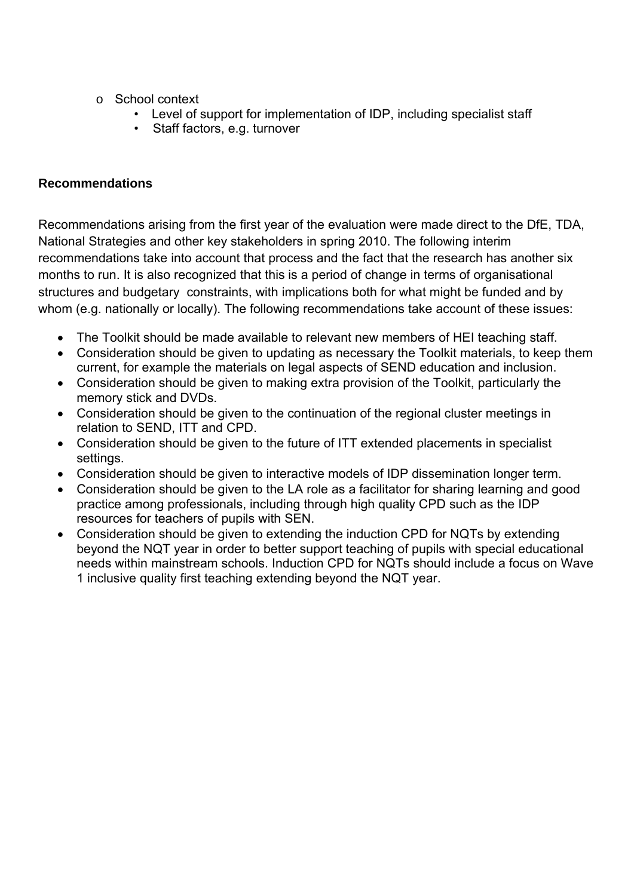- o School context
	- Level of support for implementation of IDP, including specialist staff
	- Staff factors, e.g. turnover

## **Recommendations**

Recommendations arising from the first year of the evaluation were made direct to the DfE, TDA, National Strategies and other key stakeholders in spring 2010. The following interim recommendations take into account that process and the fact that the research has another six months to run. It is also recognized that this is a period of change in terms of organisational structures and budgetary constraints, with implications both for what might be funded and by whom (e.g. nationally or locally). The following recommendations take account of these issues:

- The Toolkit should be made available to relevant new members of HEI teaching staff.
- Consideration should be given to updating as necessary the Toolkit materials, to keep them current, for example the materials on legal aspects of SEND education and inclusion.
- Consideration should be given to making extra provision of the Toolkit, particularly the memory stick and DVDs.
- Consideration should be given to the continuation of the regional cluster meetings in relation to SEND, ITT and CPD.
- Consideration should be given to the future of ITT extended placements in specialist settings.
- Consideration should be given to interactive models of IDP dissemination longer term.
- Consideration should be given to the LA role as a facilitator for sharing learning and good practice among professionals, including through high quality CPD such as the IDP resources for teachers of pupils with SEN.
- Consideration should be given to extending the induction CPD for NQTs by extending beyond the NQT year in order to better support teaching of pupils with special educational needs within mainstream schools. Induction CPD for NQTs should include a focus on Wave 1 inclusive quality first teaching extending beyond the NQT year.